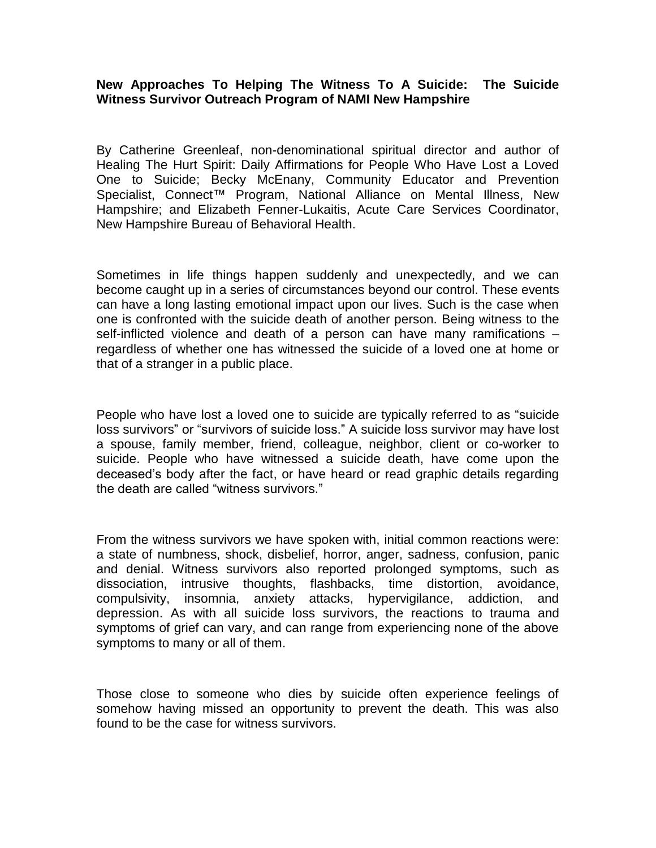## **New Approaches To Helping The Witness To A Suicide: The Suicide Witness Survivor Outreach Program of NAMI New Hampshire**

By Catherine Greenleaf, non-denominational spiritual director and author of Healing The Hurt Spirit: Daily Affirmations for People Who Have Lost a Loved One to Suicide; Becky McEnany, Community Educator and Prevention Specialist, Connect<sup>™</sup> Program, National Alliance on Mental Illness, New Hampshire; and Elizabeth Fenner-Lukaitis, Acute Care Services Coordinator, New Hampshire Bureau of Behavioral Health.

Sometimes in life things happen suddenly and unexpectedly, and we can become caught up in a series of circumstances beyond our control. These events can have a long lasting emotional impact upon our lives. Such is the case when one is confronted with the suicide death of another person. Being witness to the self-inflicted violence and death of a person can have many ramifications – regardless of whether one has witnessed the suicide of a loved one at home or that of a stranger in a public place.

People who have lost a loved one to suicide are typically referred to as "suicide loss survivors" or "survivors of suicide loss." A suicide loss survivor may have lost a spouse, family member, friend, colleague, neighbor, client or co-worker to suicide. People who have witnessed a suicide death, have come upon the deceased's body after the fact, or have heard or read graphic details regarding the death are called "witness survivors."

From the witness survivors we have spoken with, initial common reactions were: a state of numbness, shock, disbelief, horror, anger, sadness, confusion, panic and denial. Witness survivors also reported prolonged symptoms, such as dissociation, intrusive thoughts, flashbacks, time distortion, avoidance, compulsivity, insomnia, anxiety attacks, hypervigilance, addiction, and depression. As with all suicide loss survivors, the reactions to trauma and symptoms of grief can vary, and can range from experiencing none of the above symptoms to many or all of them.

Those close to someone who dies by suicide often experience feelings of somehow having missed an opportunity to prevent the death. This was also found to be the case for witness survivors.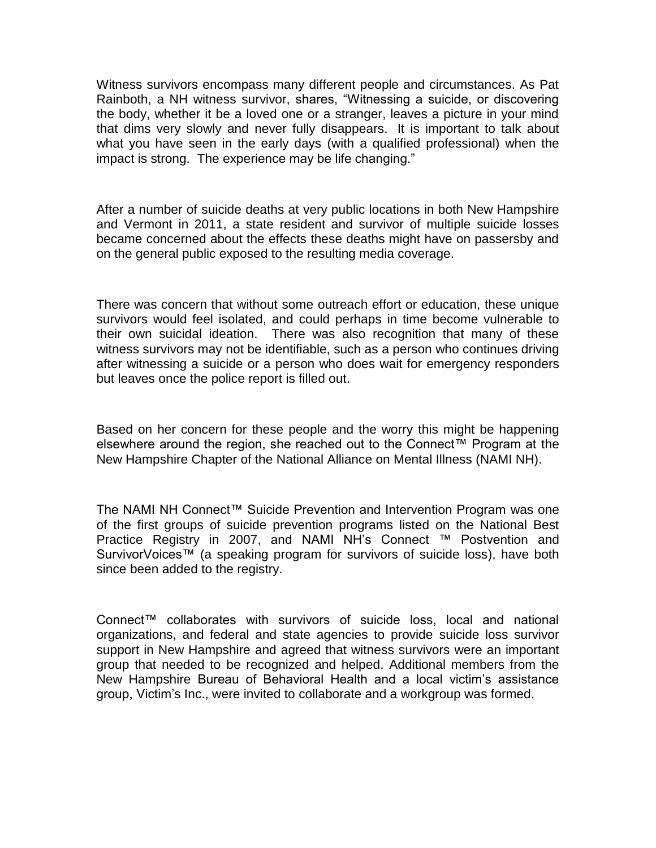Witness survivors encompass many different people and circumstances. As Pat Rainboth, a NH witness survivor, shares, "Witnessing a suicide, or discovering the body, whether it be a loved one or a stranger, leaves a picture in your mind that dims very slowly and never fully disappears. It is important to talk about what you have seen in the early days (with a qualified professional) when the impact is strong. The experience may be life changing."

After a number of suicide deaths at very public locations in both New Hampshire and Vermont in 2011, a state resident and survivor of multiple suicide losses became concerned about the effects these deaths might have on passersby and on the general public exposed to the resulting media coverage.

There was concern that without some outreach effort or education, these unique survivors would feel isolated, and could perhaps in time become vulnerable to their own suicidal ideation. There was also recognition that many of these witness survivors may not be identifiable, such as a person who continues driving after witnessing a suicide or a person who does wait for emergency responders but leaves once the police report is filled out.

Based on her concern for these people and the worry this might be happening elsewhere around the region, she reached out to the Connect™ Program at the New Hampshire Chapter of the National Alliance on Mental Illness (NAMI NH).

The NAMI NH Connect™ Suicide Prevention and Intervention Program was one of the first groups of suicide prevention programs listed on the National Best Practice Registry in 2007, and NAMI NH's Connect ™ Postvention and SurvivorVoices™ (a speaking program for survivors of suicide loss), have both since been added to the registry.

Connect™ collaborates with survivors of suicide loss, local and national organizations, and federal and state agencies to provide suicide loss survivor support in New Hampshire and agreed that witness survivors were an important group that needed to be recognized and helped. Additional members from the New Hampshire Bureau of Behavioral Health and a local victim's assistance group, Victim's Inc., were invited to collaborate and a workgroup was formed.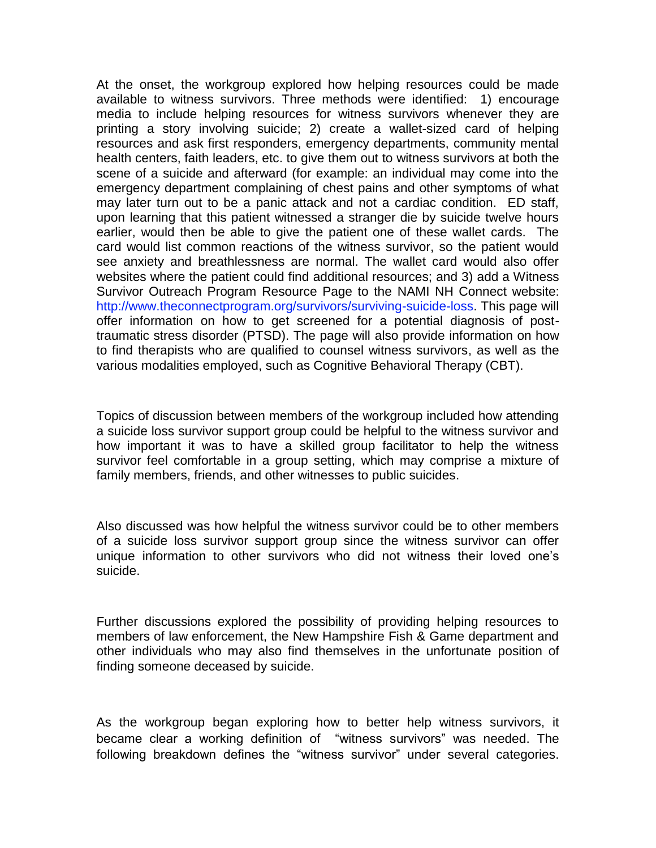At the onset, the workgroup explored how helping resources could be made available to witness survivors. Three methods were identified: 1) encourage media to include helping resources for witness survivors whenever they are printing a story involving suicide; 2) create a wallet-sized card of helping resources and ask first responders, emergency departments, community mental health centers, faith leaders, etc. to give them out to witness survivors at both the scene of a suicide and afterward (for example: an individual may come into the emergency department complaining of chest pains and other symptoms of what may later turn out to be a panic attack and not a cardiac condition. ED staff, upon learning that this patient witnessed a stranger die by suicide twelve hours earlier, would then be able to give the patient one of these wallet cards. The card would list common reactions of the witness survivor, so the patient would see anxiety and breathlessness are normal. The wallet card would also offer websites where the patient could find additional resources; and 3) add a Witness Survivor Outreach Program Resource Page to the NAMI NH Connect website: [http://www.theconnectprogram.org/survivors/surviving-suicide-loss.](http://www.theconnectprogram.org/survivors/surviving-suicide-loss) This page will offer information on how to get screened for a potential diagnosis of posttraumatic stress disorder (PTSD). The page will also provide information on how to find therapists who are qualified to counsel witness survivors, as well as the various modalities employed, such as Cognitive Behavioral Therapy (CBT).

Topics of discussion between members of the workgroup included how attending a suicide loss survivor support group could be helpful to the witness survivor and how important it was to have a skilled group facilitator to help the witness survivor feel comfortable in a group setting, which may comprise a mixture of family members, friends, and other witnesses to public suicides.

Also discussed was how helpful the witness survivor could be to other members of a suicide loss survivor support group since the witness survivor can offer unique information to other survivors who did not witness their loved one's suicide.

Further discussions explored the possibility of providing helping resources to members of law enforcement, the New Hampshire Fish & Game department and other individuals who may also find themselves in the unfortunate position of finding someone deceased by suicide.

As the workgroup began exploring how to better help witness survivors, it became clear a working definition of "witness survivors" was needed. The following breakdown defines the "witness survivor" under several categories.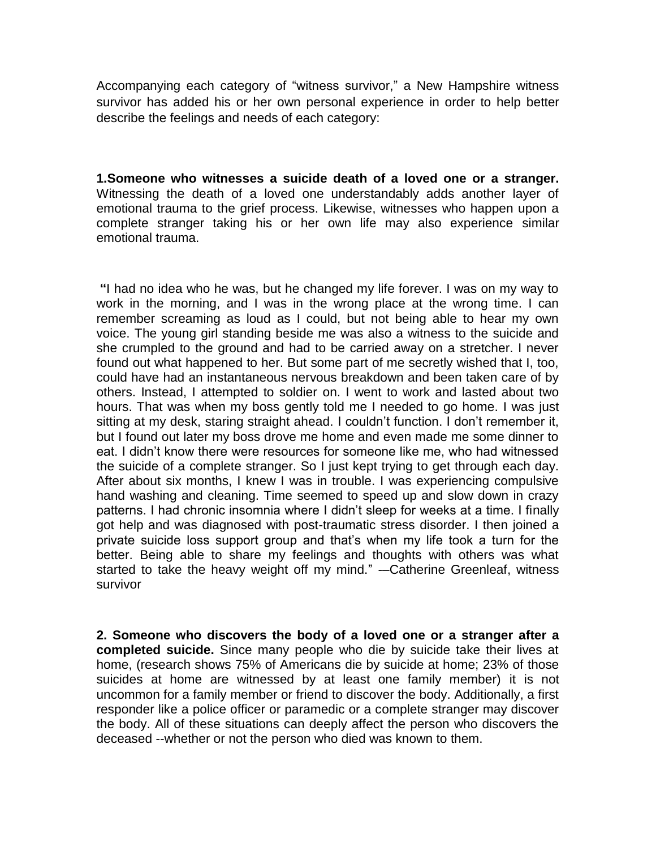Accompanying each category of "witness survivor," a New Hampshire witness survivor has added his or her own personal experience in order to help better describe the feelings and needs of each category:

**1.Someone who witnesses a suicide death of a loved one or a stranger.**  Witnessing the death of a loved one understandably adds another layer of emotional trauma to the grief process. Likewise, witnesses who happen upon a complete stranger taking his or her own life may also experience similar emotional trauma.

**"**I had no idea who he was, but he changed my life forever. I was on my way to work in the morning, and I was in the wrong place at the wrong time. I can remember screaming as loud as I could, but not being able to hear my own voice. The young girl standing beside me was also a witness to the suicide and she crumpled to the ground and had to be carried away on a stretcher. I never found out what happened to her. But some part of me secretly wished that I, too, could have had an instantaneous nervous breakdown and been taken care of by others. Instead, I attempted to soldier on. I went to work and lasted about two hours. That was when my boss gently told me I needed to go home. I was just sitting at my desk, staring straight ahead. I couldn't function. I don't remember it, but I found out later my boss drove me home and even made me some dinner to eat. I didn't know there were resources for someone like me, who had witnessed the suicide of a complete stranger. So I just kept trying to get through each day. After about six months, I knew I was in trouble. I was experiencing compulsive hand washing and cleaning. Time seemed to speed up and slow down in crazy patterns. I had chronic insomnia where I didn't sleep for weeks at a time. I finally got help and was diagnosed with post-traumatic stress disorder. I then joined a private suicide loss support group and that's when my life took a turn for the better. Being able to share my feelings and thoughts with others was what started to take the heavy weight off my mind." -–Catherine Greenleaf, witness survivor

**2. Someone who discovers the body of a loved one or a stranger after a completed suicide.** Since many people who die by suicide take their lives at home, (research shows 75% of Americans die by suicide at home; 23% of those suicides at home are witnessed by at least one family member) it is not uncommon for a family member or friend to discover the body. Additionally, a first responder like a police officer or paramedic or a complete stranger may discover the body. All of these situations can deeply affect the person who discovers the deceased --whether or not the person who died was known to them.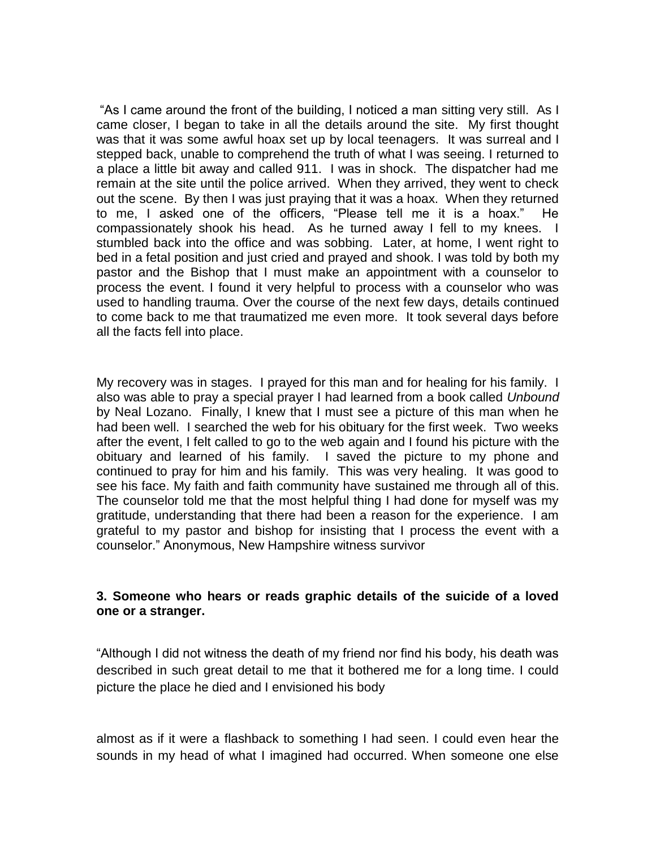"As I came around the front of the building, I noticed a man sitting very still. As I came closer, I began to take in all the details around the site. My first thought was that it was some awful hoax set up by local teenagers. It was surreal and I stepped back, unable to comprehend the truth of what I was seeing. I returned to a place a little bit away and called 911. I was in shock. The dispatcher had me remain at the site until the police arrived. When they arrived, they went to check out the scene. By then I was just praying that it was a hoax. When they returned to me, I asked one of the officers, "Please tell me it is a hoax." He compassionately shook his head. As he turned away I fell to my knees. I stumbled back into the office and was sobbing. Later, at home, I went right to bed in a fetal position and just cried and prayed and shook. I was told by both my pastor and the Bishop that I must make an appointment with a counselor to process the event. I found it very helpful to process with a counselor who was used to handling trauma. Over the course of the next few days, details continued to come back to me that traumatized me even more. It took several days before all the facts fell into place.

My recovery was in stages. I prayed for this man and for healing for his family. I also was able to pray a special prayer I had learned from a book called *Unbound* by Neal Lozano. Finally, I knew that I must see a picture of this man when he had been well. I searched the web for his obituary for the first week. Two weeks after the event, I felt called to go to the web again and I found his picture with the obituary and learned of his family. I saved the picture to my phone and continued to pray for him and his family. This was very healing. It was good to see his face. My faith and faith community have sustained me through all of this. The counselor told me that the most helpful thing I had done for myself was my gratitude, understanding that there had been a reason for the experience. I am grateful to my pastor and bishop for insisting that I process the event with a counselor." Anonymous, New Hampshire witness survivor

## **3. Someone who hears or reads graphic details of the suicide of a loved one or a stranger.**

"Although I did not witness the death of my friend nor find his body, his death was described in such great detail to me that it bothered me for a long time. I could picture the place he died and I envisioned his body

almost as if it were a flashback to something I had seen. I could even hear the sounds in my head of what I imagined had occurred. When someone one else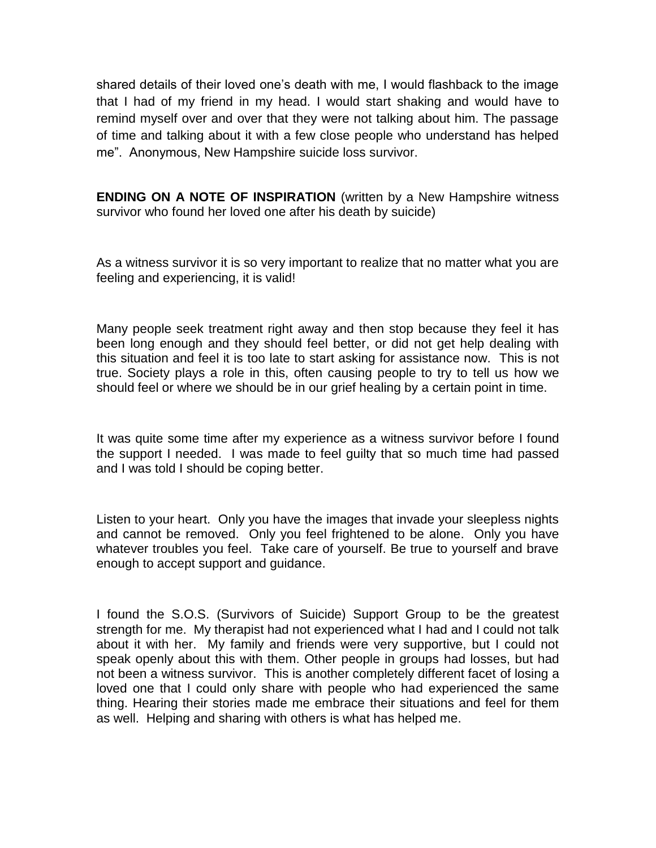shared details of their loved one's death with me, I would flashback to the image that I had of my friend in my head. I would start shaking and would have to remind myself over and over that they were not talking about him. The passage of time and talking about it with a few close people who understand has helped me". Anonymous, New Hampshire suicide loss survivor.

**ENDING ON A NOTE OF INSPIRATION** (written by a New Hampshire witness survivor who found her loved one after his death by suicide)

As a witness survivor it is so very important to realize that no matter what you are feeling and experiencing, it is valid!

Many people seek treatment right away and then stop because they feel it has been long enough and they should feel better, or did not get help dealing with this situation and feel it is too late to start asking for assistance now. This is not true. Society plays a role in this, often causing people to try to tell us how we should feel or where we should be in our grief healing by a certain point in time.

It was quite some time after my experience as a witness survivor before I found the support I needed. I was made to feel guilty that so much time had passed and I was told I should be coping better.

Listen to your heart. Only you have the images that invade your sleepless nights and cannot be removed. Only you feel frightened to be alone. Only you have whatever troubles you feel. Take care of yourself. Be true to yourself and brave enough to accept support and guidance.

I found the S.O.S. (Survivors of Suicide) Support Group to be the greatest strength for me. My therapist had not experienced what I had and I could not talk about it with her. My family and friends were very supportive, but I could not speak openly about this with them. Other people in groups had losses, but had not been a witness survivor. This is another completely different facet of losing a loved one that I could only share with people who had experienced the same thing. Hearing their stories made me embrace their situations and feel for them as well. Helping and sharing with others is what has helped me.